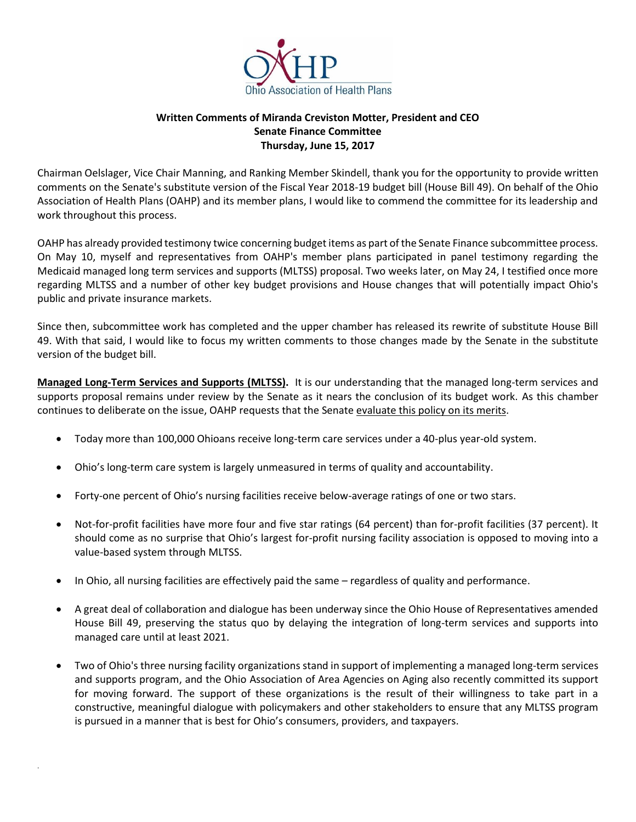

## **Written Comments of Miranda Creviston Motter, President and CEO Senate Finance Committee Thursday, June 15, 2017**

Chairman Oelslager, Vice Chair Manning, and Ranking Member Skindell, thank you for the opportunity to provide written comments on the Senate's substitute version of the Fiscal Year 2018-19 budget bill (House Bill 49). On behalf of the Ohio Association of Health Plans (OAHP) and its member plans, I would like to commend the committee for its leadership and work throughout this process.

OAHP has already provided testimony twice concerning budget items as part of the Senate Finance subcommittee process. On May 10, myself and representatives from OAHP's member plans participated in panel testimony regarding the Medicaid managed long term services and supports (MLTSS) proposal. Two weeks later, on May 24, I testified once more regarding MLTSS and a number of other key budget provisions and House changes that will potentially impact Ohio's public and private insurance markets.

Since then, subcommittee work has completed and the upper chamber has released its rewrite of substitute House Bill 49. With that said, I would like to focus my written comments to those changes made by the Senate in the substitute version of the budget bill.

**Managed Long-Term Services and Supports (MLTSS).** It is our understanding that the managed long-term services and supports proposal remains under review by the Senate as it nears the conclusion of its budget work. As this chamber continues to deliberate on the issue, OAHP requests that the Senate evaluate this policy on its merits.

- Today more than 100,000 Ohioans receive long-term care services under a 40-plus year-old system.
- Ohio's long-term care system is largely unmeasured in terms of quality and accountability.
- Forty-one percent of Ohio's nursing facilities receive below-average ratings of one or two stars.
- Not-for-profit facilities have more four and five star ratings (64 percent) than for-profit facilities (37 percent). It should come as no surprise that Ohio's largest for-profit nursing facility association is opposed to moving into a value-based system through MLTSS.
- In Ohio, all nursing facilities are effectively paid the same regardless of quality and performance.

.

- A great deal of collaboration and dialogue has been underway since the Ohio House of Representatives amended House Bill 49, preserving the status quo by delaying the integration of long-term services and supports into managed care until at least 2021.
- Two of Ohio's three nursing facility organizations stand in support of implementing a managed long-term services and supports program, and the Ohio Association of Area Agencies on Aging also recently committed its support for moving forward. The support of these organizations is the result of their willingness to take part in a constructive, meaningful dialogue with policymakers and other stakeholders to ensure that any MLTSS program is pursued in a manner that is best for Ohio's consumers, providers, and taxpayers.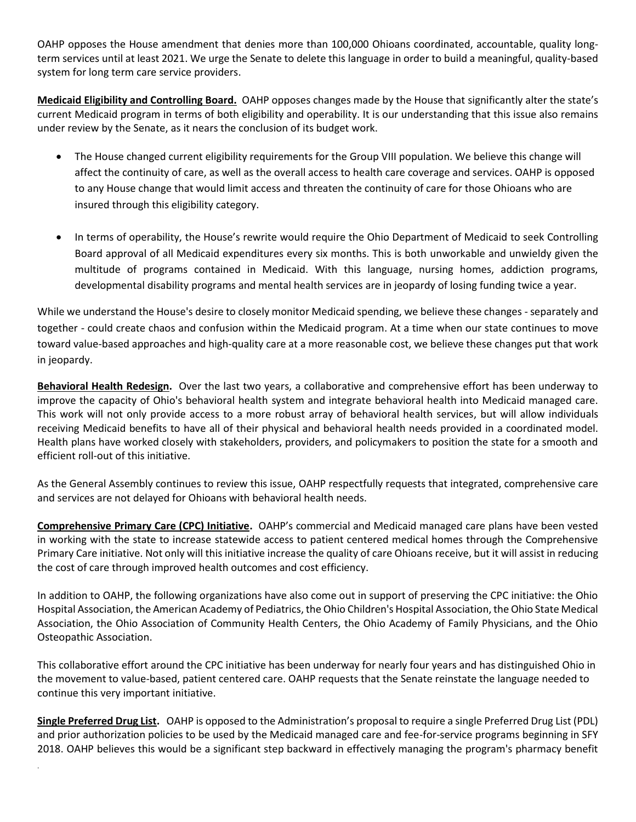OAHP opposes the House amendment that denies more than 100,000 Ohioans coordinated, accountable, quality longterm services until at least 2021. We urge the Senate to delete this language in order to build a meaningful, quality-based system for long term care service providers.

**Medicaid Eligibility and Controlling Board.** OAHP opposes changes made by the House that significantly alter the state's current Medicaid program in terms of both eligibility and operability. It is our understanding that this issue also remains under review by the Senate, as it nears the conclusion of its budget work.

- The House changed current eligibility requirements for the Group VIII population. We believe this change will affect the continuity of care, as well as the overall access to health care coverage and services. OAHP is opposed to any House change that would limit access and threaten the continuity of care for those Ohioans who are insured through this eligibility category.
- In terms of operability, the House's rewrite would require the Ohio Department of Medicaid to seek Controlling Board approval of all Medicaid expenditures every six months. This is both unworkable and unwieldy given the multitude of programs contained in Medicaid. With this language, nursing homes, addiction programs, developmental disability programs and mental health services are in jeopardy of losing funding twice a year.

While we understand the House's desire to closely monitor Medicaid spending, we believe these changes - separately and together - could create chaos and confusion within the Medicaid program. At a time when our state continues to move toward value-based approaches and high-quality care at a more reasonable cost, we believe these changes put that work in jeopardy.

**Behavioral Health Redesign.** Over the last two years, a collaborative and comprehensive effort has been underway to improve the capacity of Ohio's behavioral health system and integrate behavioral health into Medicaid managed care. This work will not only provide access to a more robust array of behavioral health services, but will allow individuals receiving Medicaid benefits to have all of their physical and behavioral health needs provided in a coordinated model. Health plans have worked closely with stakeholders, providers, and policymakers to position the state for a smooth and efficient roll-out of this initiative.

As the General Assembly continues to review this issue, OAHP respectfully requests that integrated, comprehensive care and services are not delayed for Ohioans with behavioral health needs.

**Comprehensive Primary Care (CPC) Initiative.** OAHP's commercial and Medicaid managed care plans have been vested in working with the state to increase statewide access to patient centered medical homes through the Comprehensive Primary Care initiative. Not only will this initiative increase the quality of care Ohioans receive, but it will assist in reducing the cost of care through improved health outcomes and cost efficiency.

In addition to OAHP, the following organizations have also come out in support of preserving the CPC initiative: the Ohio Hospital Association, the American Academy of Pediatrics, the Ohio Children's Hospital Association, the Ohio State Medical Association, the Ohio Association of Community Health Centers, the Ohio Academy of Family Physicians, and the Ohio Osteopathic Association.

This collaborative effort around the CPC initiative has been underway for nearly four years and has distinguished Ohio in the movement to value-based, patient centered care. OAHP requests that the Senate reinstate the language needed to continue this very important initiative.

**Single Preferred Drug List.** OAHP is opposed to the Administration's proposal to require a single Preferred Drug List (PDL) and prior authorization policies to be used by the Medicaid managed care and fee-for-service programs beginning in SFY 2018. OAHP believes this would be a significant step backward in effectively managing the program's pharmacy benefit

.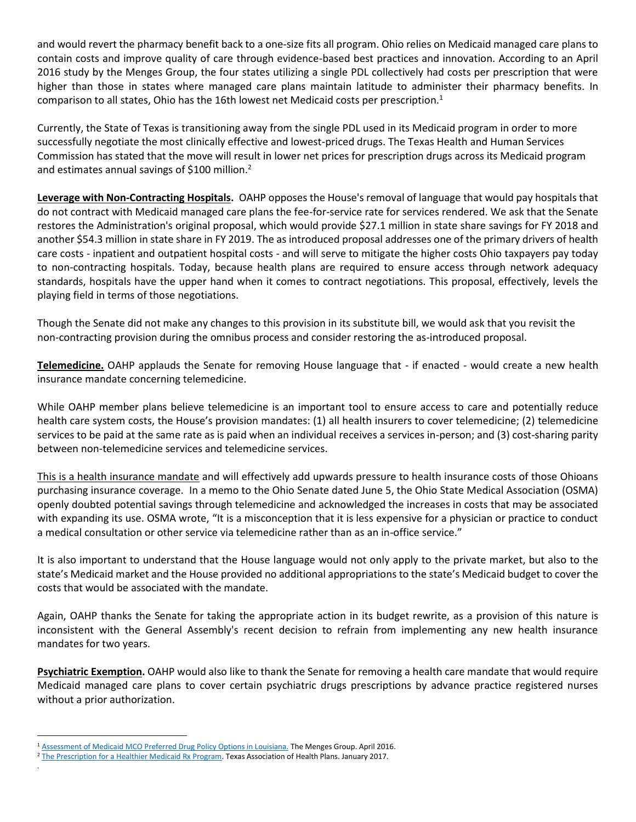and would revert the pharmacy benefit back to a one-size fits all program. Ohio relies on Medicaid managed care plans to contain costs and improve quality of care through evidence-based best practices and innovation. According to an April 2016 study by the Menges Group, the four states utilizing a single PDL collectively had costs per prescription that were higher than those in states where managed care plans maintain latitude to administer their pharmacy benefits. In comparison to all states, Ohio has the 16th lowest net Medicaid costs per prescription.<sup>1</sup>

Currently, the State of Texas is transitioning away from the single PDL used in its Medicaid program in order to more successfully negotiate the most clinically effective and lowest-priced drugs. The Texas Health and Human Services Commission has stated that the move will result in lower net prices for prescription drugs across its Medicaid program and estimates annual savings of \$100 million.<sup>2</sup>

**Leverage with Non-Contracting Hospitals.** OAHP opposes the House's removal of language that would pay hospitals that do not contract with Medicaid managed care plans the fee-for-service rate for services rendered. We ask that the Senate restores the Administration's original proposal, which would provide \$27.1 million in state share savings for FY 2018 and another \$54.3 million in state share in FY 2019. The as introduced proposal addresses one of the primary drivers of health care costs - inpatient and outpatient hospital costs - and will serve to mitigate the higher costs Ohio taxpayers pay today to non-contracting hospitals. Today, because health plans are required to ensure access through network adequacy standards, hospitals have the upper hand when it comes to contract negotiations. This proposal, effectively, levels the playing field in terms of those negotiations.

Though the Senate did not make any changes to this provision in its substitute bill, we would ask that you revisit the non-contracting provision during the omnibus process and consider restoring the as-introduced proposal.

**Telemedicine.** OAHP applauds the Senate for removing House language that - if enacted - would create a new health insurance mandate concerning telemedicine.

While OAHP member plans believe telemedicine is an important tool to ensure access to care and potentially reduce health care system costs, the House's provision mandates: (1) all health insurers to cover telemedicine; (2) telemedicine services to be paid at the same rate as is paid when an individual receives a services in-person; and (3) cost-sharing parity between non-telemedicine services and telemedicine services.

This is a health insurance mandate and will effectively add upwards pressure to health insurance costs of those Ohioans purchasing insurance coverage. In a memo to the Ohio Senate dated June 5, the Ohio State Medical Association (OSMA) openly doubted potential savings through telemedicine and acknowledged the increases in costs that may be associated with expanding its use. OSMA wrote, "It is a misconception that it is less expensive for a physician or practice to conduct a medical consultation or other service via telemedicine rather than as an in-office service."

It is also important to understand that the House language would not only apply to the private market, but also to the state's Medicaid market and the House provided no additional appropriations to the state's Medicaid budget to cover the costs that would be associated with the mandate.

Again, OAHP thanks the Senate for taking the appropriate action in its budget rewrite, as a provision of this nature is inconsistent with the General Assembly's recent decision to refrain from implementing any new health insurance mandates for two years.

**Psychiatric Exemption.** OAHP would also like to thank the Senate for removing a health care mandate that would require Medicaid managed care plans to cover certain psychiatric drugs prescriptions by advance practice registered nurses without a prior authorization.

.

 $\overline{a}$ 

<sup>&</sup>lt;sup>1</sup> [Assessment of Medicaid MCO Preferred Drug Policy Options in Louisiana.](https://www.themengesgroup.com/upload_file/louisiana_pdl_report_april_2016.pdf) The Menges Group. April 2016.

<sup>2</sup> [The Prescription for a Healthier Medicaid Rx Program.](http://tahp.org/wp-content/uploads/2017/01/TAHP_Prescription_Healthier_MedicaidRxProgram.pdf) Texas Association of Health Plans. January 2017.